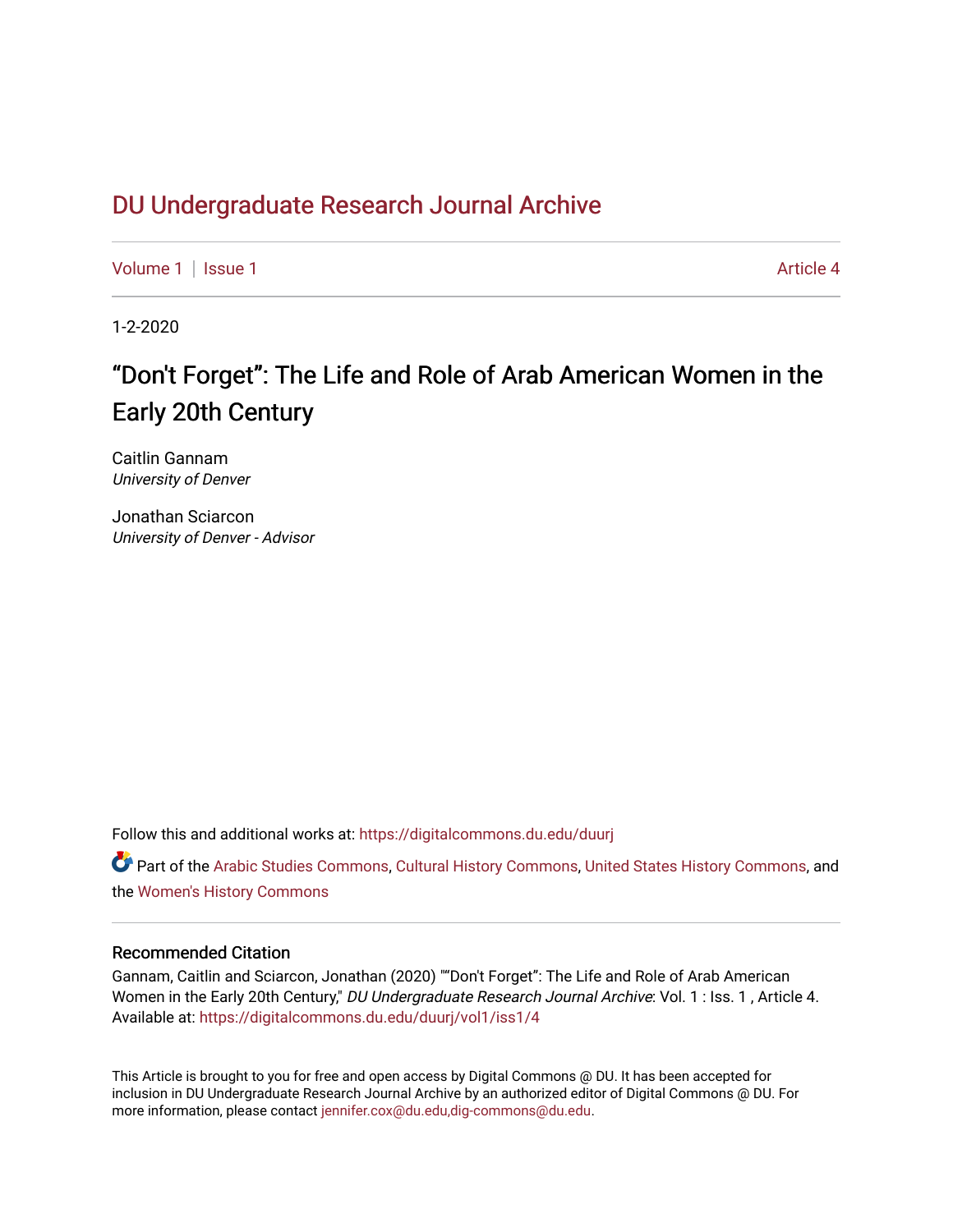# DU Undergr[aduate Research Journal Ar](https://digitalcommons.du.edu/duurj)chive

[Volume 1](https://digitalcommons.du.edu/duurj/vol1) | [Issue 1](https://digitalcommons.du.edu/duurj/vol1/iss1) Article 4

1-2-2020

# "Don't Forget": The Life and Role of Arab American Women in the Early 20th Century

Caitlin Gannam University of Denver

Jonathan Sciarcon University of Denver - Advisor

Follow this and additional works at: [https://digitalcommons.du.edu/duurj](https://digitalcommons.du.edu/duurj?utm_source=digitalcommons.du.edu%2Fduurj%2Fvol1%2Fiss1%2F4&utm_medium=PDF&utm_campaign=PDFCoverPages) 

Part of the [Arabic Studies Commons,](http://network.bepress.com/hgg/discipline/1424?utm_source=digitalcommons.du.edu%2Fduurj%2Fvol1%2Fiss1%2F4&utm_medium=PDF&utm_campaign=PDFCoverPages) [Cultural History Commons,](http://network.bepress.com/hgg/discipline/496?utm_source=digitalcommons.du.edu%2Fduurj%2Fvol1%2Fiss1%2F4&utm_medium=PDF&utm_campaign=PDFCoverPages) [United States History Commons](http://network.bepress.com/hgg/discipline/495?utm_source=digitalcommons.du.edu%2Fduurj%2Fvol1%2Fiss1%2F4&utm_medium=PDF&utm_campaign=PDFCoverPages), and the [Women's History Commons](http://network.bepress.com/hgg/discipline/507?utm_source=digitalcommons.du.edu%2Fduurj%2Fvol1%2Fiss1%2F4&utm_medium=PDF&utm_campaign=PDFCoverPages)

### Recommended Citation

Gannam, Caitlin and Sciarcon, Jonathan (2020) ""Don't Forget": The Life and Role of Arab American Women in the Early 20th Century," DU Undergraduate Research Journal Archive: Vol. 1 : Iss. 1, Article 4. Available at: [https://digitalcommons.du.edu/duurj/vol1/iss1/4](https://digitalcommons.du.edu/duurj/vol1/iss1/4?utm_source=digitalcommons.du.edu%2Fduurj%2Fvol1%2Fiss1%2F4&utm_medium=PDF&utm_campaign=PDFCoverPages) 

This Article is brought to you for free and open access by Digital Commons @ DU. It has been accepted for inclusion in DU Undergraduate Research Journal Archive by an authorized editor of Digital Commons @ DU. For more information, please contact [jennifer.cox@du.edu,dig-commons@du.edu.](mailto:jennifer.cox@du.edu,dig-commons@du.edu)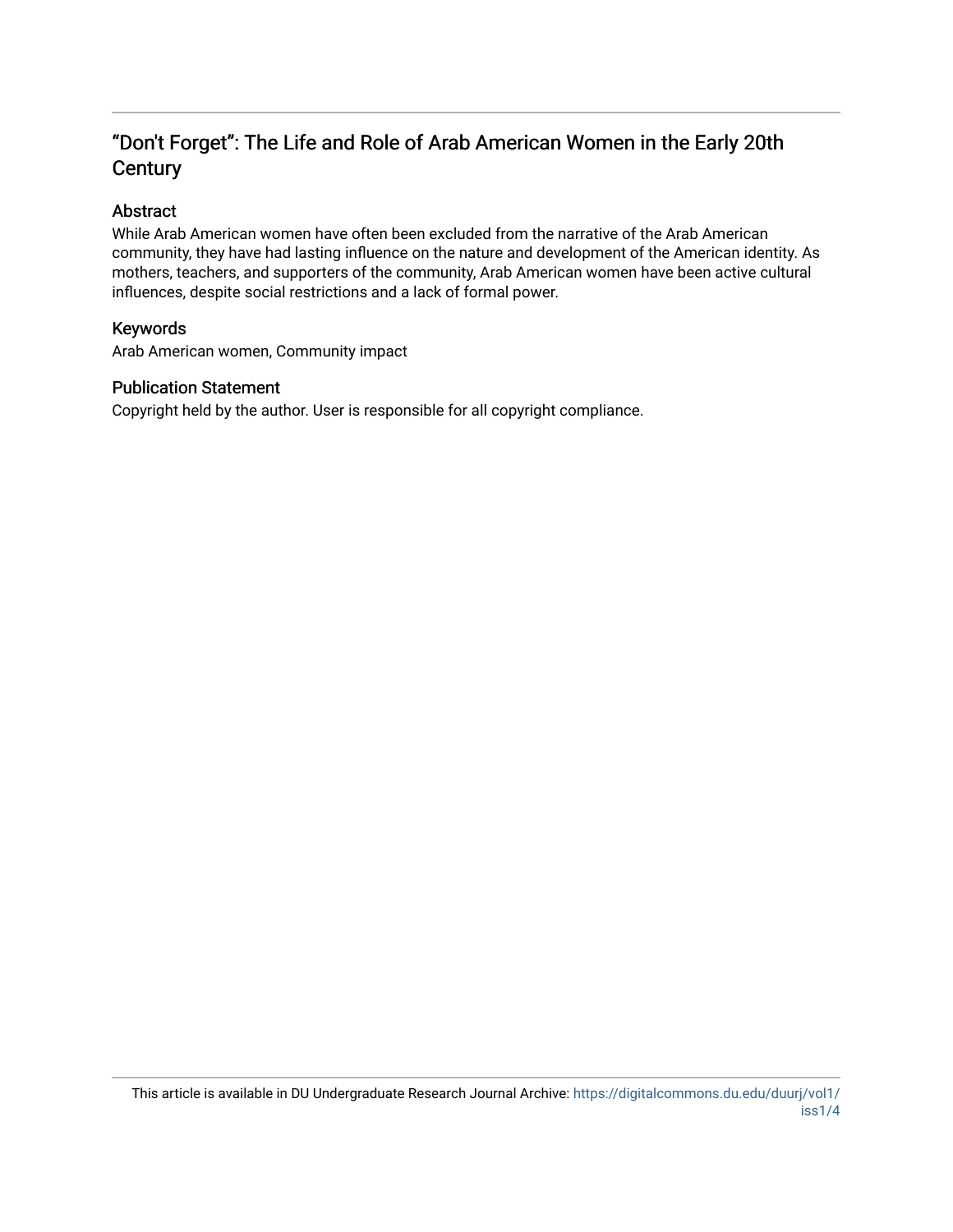# "Don't Forget": The Life and Role of Arab American Women in the Early 20th **Century**

## Abstract

While Arab American women have often been excluded from the narrative of the Arab American community, they have had lasting influence on the nature and development of the American identity. As mothers, teachers, and supporters of the community, Arab American women have been active cultural influences, despite social restrictions and a lack of formal power.

## Keywords

Arab American women, Community impact

### Publication Statement

Copyright held by the author. User is responsible for all copyright compliance.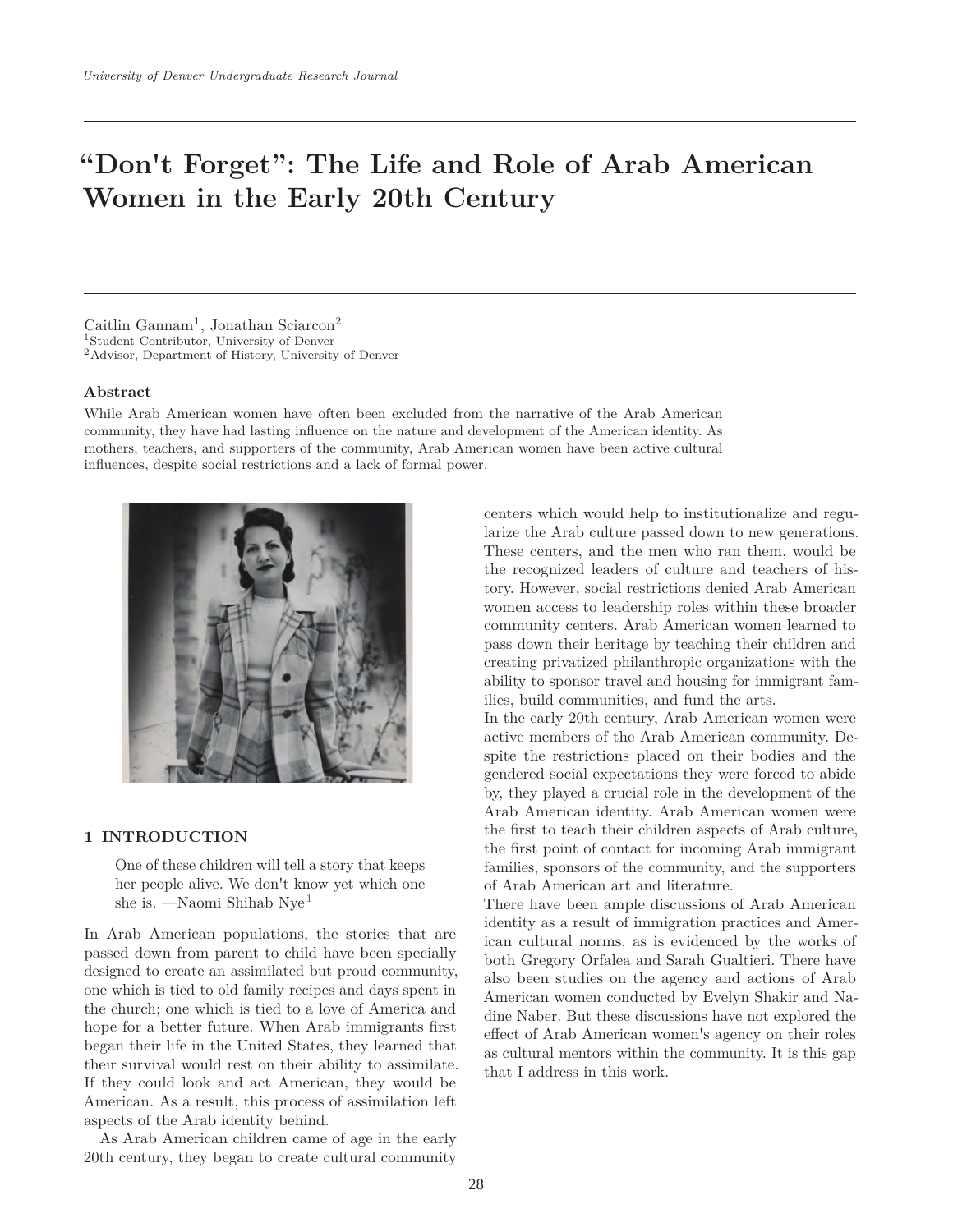# **"Don't Forget": The Life and Role of Arab American Women in the Early 20th Century**

Caitlin Gannam<sup>1</sup>, Jonathan Sciarcon<sup>2</sup> 1Student Contributor, University of Denver 2Advisor, Department of History, University of Denver

#### **Abstract**

While Arab American women have often been excluded from the narrative of the Arab American community, they have had lasting influence on the nature and development of the American identity. As mothers, teachers, and supporters of the community, Arab American women have been active cultural influences, despite social restrictions and a lack of formal power.



#### **1 INTRODUCTION**

One of these children will tell a story that keeps her people alive. We don't know yet which one she is. —Naomi Shihab Nye<sup>1</sup>

In Arab American populations, the stories that are passed down from parent to child have been specially designed to create an assimilated but proud community, one which is tied to old family recipes and days spent in the church; one which is tied to a love of America and hope for a better future. When Arab immigrants first began their life in the United States, they learned that their survival would rest on their ability to assimilate. If they could look and act American, they would be American. As a result, this process of assimilation left aspects of the Arab identity behind.

As Arab American children came of age in the early 20th century, they began to create cultural community

centers which would help to institutionalize and regularize the Arab culture passed down to new generations. These centers, and the men who ran them, would be the recognized leaders of culture and teachers of history. However, social restrictions denied Arab American women access to leadership roles within these broader community centers. Arab American women learned to pass down their heritage by teaching their children and creating privatized philanthropic organizations with the ability to sponsor travel and housing for immigrant families, build communities, and fund the arts.

In the early 20th century, Arab American women were active members of the Arab American community. Despite the restrictions placed on their bodies and the gendered social expectations they were forced to abide by, they played a crucial role in the development of the Arab American identity. Arab American women were the first to teach their children aspects of Arab culture, the first point of contact for incoming Arab immigrant families, sponsors of the community, and the supporters of Arab American art and literature.

There have been ample discussions of Arab American identity as a result of immigration practices and American cultural norms, as is evidenced by the works of both Gregory Orfalea and Sarah Gualtieri. There have also been studies on the agency and actions of Arab American women conducted by Evelyn Shakir and Nadine Naber. But these discussions have not explored the effect of Arab American women's agency on their roles as cultural mentors within the community. It is this gap that I address in this work.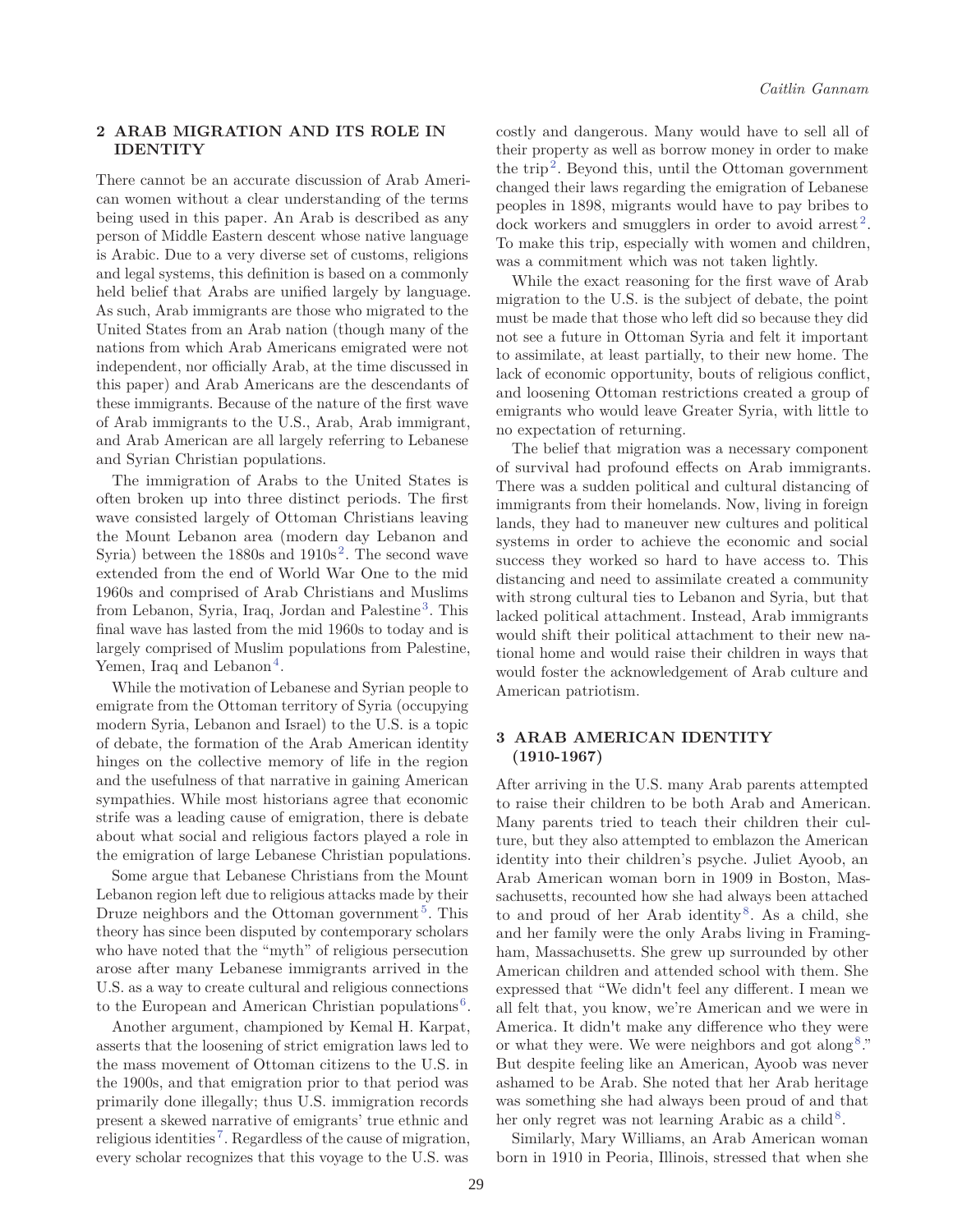#### **2 ARAB MIGRATION AND ITS ROLE IN IDENTITY**

There cannot be an accurate discussion of Arab American women without a clear understanding of the terms being used in this paper. An Arab is described as any person of Middle Eastern descent whose native language is Arabic. Due to a very diverse set of customs, religions and legal systems, this definition is based on a commonly held belief that Arabs are unified largely by language. As such, Arab immigrants are those who migrated to the United States from an Arab nation (though many of the nations from which Arab Americans emigrated were not independent, nor officially Arab, at the time discussed in this paper) and Arab Americans are the descendants of these immigrants. Because of the nature of the first wave of Arab immigrants to the U.S., Arab, Arab immigrant, and Arab American are all largely referring to Lebanese and Syrian Christian populations.

The immigration of Arabs to the United States is often broken up into three distinct periods. The first wave consisted largely of Ottoman Christians leaving the Mount Lebanon area (modern day Lebanon and Syria) between the  $1880s$  and  $1910s<sup>2</sup>$ . The second wave extended from the end of World War One to the mid 1960s and comprised of Arab Christians and Muslims from Lebanon, Syria, Iraq, Jordan and Palestine<sup>3</sup>. This final wave has lasted from the mid 1960s to today and is largely comprised of Muslim populations from Palestine, Yemen, Iraq and Lebanon<sup>4</sup>.

While the motivation of Lebanese and Syrian people to emigrate from the Ottoman territory of Syria (occupying modern Syria, Lebanon and Israel) to the U.S. is a topic of debate, the formation of the Arab American identity hinges on the collective memory of life in the region and the usefulness of that narrative in gaining American sympathies. While most historians agree that economic strife was a leading cause of emigration, there is debate about what social and religious factors played a role in the emigration of large Lebanese Christian populations.

Some argue that Lebanese Christians from the Mount Lebanon region left due to religious attacks made by their Druze neighbors and the Ottoman government<sup>5</sup>. This theory has since been disputed by contemporary scholars who have noted that the "myth" of religious persecution arose after many Lebanese immigrants arrived in the U.S. as a way to create cultural and religious connections to the European and American Christian populations<sup>6</sup>.

Another argument, championed by Kemal H. Karpat, asserts that the loosening of strict emigration laws led to the mass movement of Ottoman citizens to the U.S. in the 1900s, and that emigration prior to that period was primarily done illegally; thus U.S. immigration records present a skewed narrative of emigrants' true ethnic and religious identities<sup>7</sup>. Regardless of the cause of migration, every scholar recognizes that this voyage to the U.S. was costly and dangerous. Many would have to sell all of their property as well as borrow money in order to make the trip<sup>2</sup>. Beyond this, until the Ottoman government changed their laws regarding the emigration of Lebanese peoples in 1898, migrants would have to pay bribes to dock workers and smugglers in order to avoid arrest<sup>2</sup>. To make this trip, especially with women and children, was a commitment which was not taken lightly.

While the exact reasoning for the first wave of Arab migration to the U.S. is the subject of debate, the point must be made that those who left did so because they did not see a future in Ottoman Syria and felt it important to assimilate, at least partially, to their new home. The lack of economic opportunity, bouts of religious conflict, and loosening Ottoman restrictions created a group of emigrants who would leave Greater Syria, with little to no expectation of returning.

The belief that migration was a necessary component of survival had profound effects on Arab immigrants. There was a sudden political and cultural distancing of immigrants from their homelands. Now, living in foreign lands, they had to maneuver new cultures and political systems in order to achieve the economic and social success they worked so hard to have access to. This distancing and need to assimilate created a community with strong cultural ties to Lebanon and Syria, but that lacked political attachment. Instead, Arab immigrants would shift their political attachment to their new national home and would raise their children in ways that would foster the acknowledgement of Arab culture and American patriotism.

#### **3 ARAB AMERICAN IDENTITY (1910-1967)**

After arriving in the U.S. many Arab parents attempted to raise their children to be both Arab and American. Many parents tried to teach their children their culture, but they also attempted to emblazon the American identity into their children's psyche. Juliet Ayoob, an Arab American woman born in 1909 in Boston, Massachusetts, recounted how she had always been attached to and proud of her Arab identity<sup>8</sup>. As a child, she and her family were the only Arabs living in Framingham, Massachusetts. She grew up surrounded by other American children and attended school with them. She expressed that "We didn't feel any different. I mean we all felt that, you know, we're American and we were in America. It didn't make any difference who they were or what they were. We were neighbors and got along8." But despite feeling like an American, Ayoob was never ashamed to be Arab. She noted that her Arab heritage was something she had always been proud of and that her only regret was not learning Arabic as a child  $8$ .

Similarly, Mary Williams, an Arab American woman born in 1910 in Peoria, Illinois, stressed that when she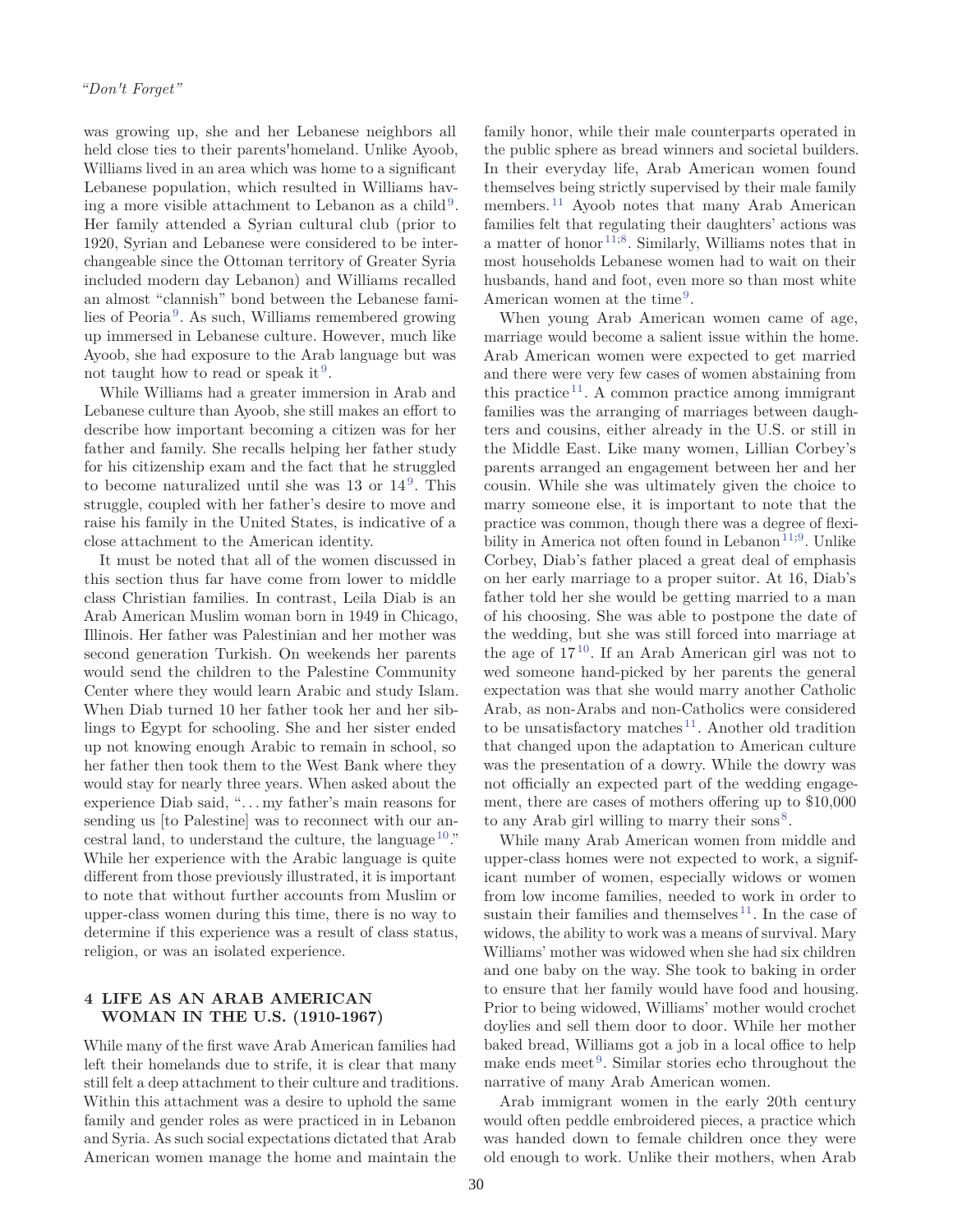was growing up, she and her Lebanese neighbors all held close ties to their parents'homeland. Unlike Ayoob, Williams lived in an area which was home to a significant Lebanese population, which resulted in Williams having a more visible attachment to Lebanon as a child<sup>9</sup>. Her family attended a Syrian cultural club (prior to 1920, Syrian and Lebanese were considered to be interchangeable since the Ottoman territory of Greater Syria included modern day Lebanon) and Williams recalled an almost "clannish" bond between the Lebanese families of Peoria <sup>9</sup>. As such, Williams remembered growing up immersed in Lebanese culture. However, much like Ayoob, she had exposure to the Arab language but was not taught how to read or speak it  $\mathfrak{g}$ .

While Williams had a greater immersion in Arab and Lebanese culture than Ayoob, she still makes an effort to describe how important becoming a citizen was for her father and family. She recalls helping her father study for his citizenship exam and the fact that he struggled to become naturalized until she was  $13$  or  $14^9$ . This struggle, coupled with her father's desire to move and raise his family in the United States, is indicative of a close attachment to the American identity.

It must be noted that all of the women discussed in this section thus far have come from lower to middle class Christian families. In contrast, Leila Diab is an Arab American Muslim woman born in 1949 in Chicago, Illinois. Her father was Palestinian and her mother was second generation Turkish. On weekends her parents would send the children to the Palestine Community Center where they would learn Arabic and study Islam. When Diab turned 10 her father took her and her siblings to Egypt for schooling. She and her sister ended up not knowing enough Arabic to remain in school, so her father then took them to the West Bank where they would stay for nearly three years. When asked about the experience Diab said, ". . . my father's main reasons for sending us [to Palestine] was to reconnect with our ancestral land, to understand the culture, the language  $10$ ." While her experience with the Arabic language is quite different from those previously illustrated, it is important to note that without further accounts from Muslim or upper-class women during this time, there is no way to determine if this experience was a result of class status, religion, or was an isolated experience.

#### **4 LIFE AS AN ARAB AMERICAN WOMAN IN THE U.S. (1910-1967)**

While many of the first wave Arab American families had left their homelands due to strife, it is clear that many still felt a deep attachment to their culture and traditions. Within this attachment was a desire to uphold the same family and gender roles as were practiced in in Lebanon and Syria. As such social expectations dictated that Arab American women manage the home and maintain the

family honor, while their male counterparts operated in the public sphere as bread winners and societal builders. In their everyday life, Arab American women found themselves being strictly supervised by their male family members.<sup>11</sup> Ayoob notes that many Arab American families felt that regulating their daughters' actions was a matter of honor<sup>11;8</sup>. Similarly, Williams notes that in most households Lebanese women had to wait on their husbands, hand and foot, even more so than most white American women at the time<sup>9</sup>.

When young Arab American women came of age, marriage would become a salient issue within the home. Arab American women were expected to get married and there were very few cases of women abstaining from this practice<sup>11</sup>. A common practice among immigrant families was the arranging of marriages between daughters and cousins, either already in the U.S. or still in the Middle East. Like many women, Lillian Corbey's parents arranged an engagement between her and her cousin. While she was ultimately given the choice to marry someone else, it is important to note that the practice was common, though there was a degree of flexibility in America not often found in Lebanon<sup>11;9</sup>. Unlike Corbey, Diab's father placed a great deal of emphasis on her early marriage to a proper suitor. At 16, Diab's father told her she would be getting married to a man of his choosing. She was able to postpone the date of the wedding, but she was still forced into marriage at the age of  $17^{10}$ . If an Arab American girl was not to wed someone hand-picked by her parents the general expectation was that she would marry another Catholic Arab, as non-Arabs and non-Catholics were considered to be unsatisfactory matches<sup>11</sup>. Another old tradition that changed upon the adaptation to American culture was the presentation of a dowry. While the dowry was not officially an expected part of the wedding engagement, there are cases of mothers offering up to \$10,000 to any Arab girl willing to marry their sons<sup>8</sup>.

While many Arab American women from middle and upper-class homes were not expected to work, a significant number of women, especially widows or women from low income families, needed to work in order to sustain their families and themselves<sup>11</sup>. In the case of widows, the ability to work was a means of survival. Mary Williams' mother was widowed when she had six children and one baby on the way. She took to baking in order to ensure that her family would have food and housing. Prior to being widowed, Williams' mother would crochet doylies and sell them door to door. While her mother baked bread, Williams got a job in a local office to help make ends meet<sup>9</sup>. Similar stories echo throughout the narrative of many Arab American women.

Arab immigrant women in the early 20th century would often peddle embroidered pieces, a practice which was handed down to female children once they were old enough to work. Unlike their mothers, when Arab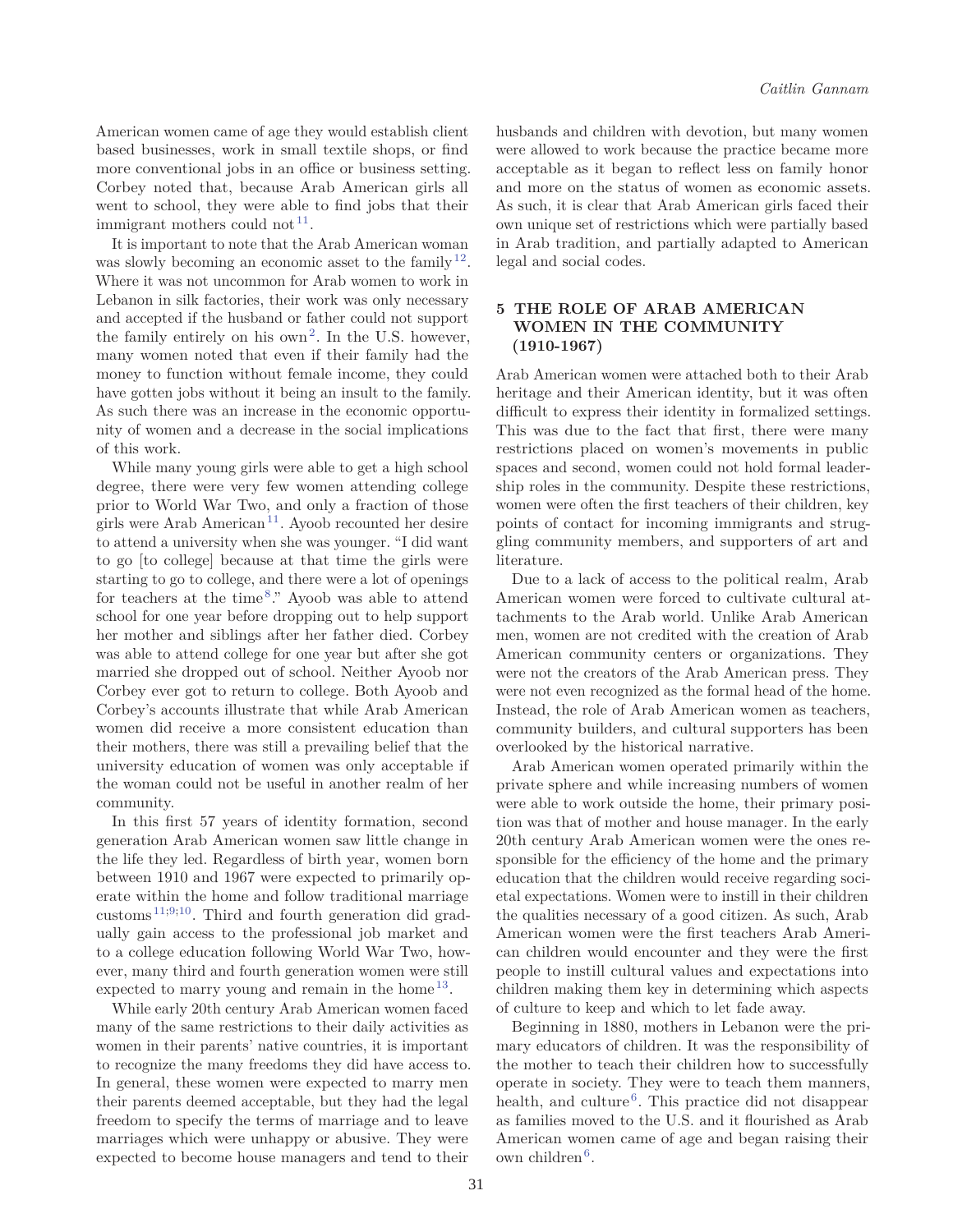American women came of age they would establish client based businesses, work in small textile shops, or find more conventional jobs in an office or business setting. Corbey noted that, because Arab American girls all went to school, they were able to find jobs that their immigrant mothers could not  $11$ .

It is important to note that the Arab American woman was slowly becoming an economic asset to the family  $12$ . Where it was not uncommon for Arab women to work in Lebanon in silk factories, their work was only necessary and accepted if the husband or father could not support the family entirely on his  $own<sup>2</sup>$ . In the U.S. however, many women noted that even if their family had the money to function without female income, they could have gotten jobs without it being an insult to the family. As such there was an increase in the economic opportunity of women and a decrease in the social implications of this work.

While many young girls were able to get a high school degree, there were very few women attending college prior to World War Two, and only a fraction of those girls were Arab American <sup>11</sup>. Ayoob recounted her desire to attend a university when she was younger. "I did want to go [to college] because at that time the girls were starting to go to college, and there were a lot of openings for teachers at the time<sup>8</sup>." Ayoob was able to attend school for one year before dropping out to help support her mother and siblings after her father died. Corbey was able to attend college for one year but after she got married she dropped out of school. Neither Ayoob nor Corbey ever got to return to college. Both Ayoob and Corbey's accounts illustrate that while Arab American women did receive a more consistent education than their mothers, there was still a prevailing belief that the university education of women was only acceptable if the woman could not be useful in another realm of her community.

In this first 57 years of identity formation, second generation Arab American women saw little change in the life they led. Regardless of birth year, women born between 1910 and 1967 were expected to primarily operate within the home and follow traditional marriage customs  $11;9;10$ . Third and fourth generation did gradually gain access to the professional job market and to a college education following World War Two, however, many third and fourth generation women were still expected to marry young and remain in the home<sup>13</sup>.

While early 20th century Arab American women faced many of the same restrictions to their daily activities as women in their parents' native countries, it is important to recognize the many freedoms they did have access to. In general, these women were expected to marry men their parents deemed acceptable, but they had the legal freedom to specify the terms of marriage and to leave marriages which were unhappy or abusive. They were expected to become house managers and tend to their husbands and children with devotion, but many women were allowed to work because the practice became more acceptable as it began to reflect less on family honor and more on the status of women as economic assets. As such, it is clear that Arab American girls faced their own unique set of restrictions which were partially based in Arab tradition, and partially adapted to American legal and social codes.

#### **5 THE ROLE OF ARAB AMERICAN WOMEN IN THE COMMUNITY (1910-1967)**

Arab American women were attached both to their Arab heritage and their American identity, but it was often difficult to express their identity in formalized settings. This was due to the fact that first, there were many restrictions placed on women's movements in public spaces and second, women could not hold formal leadership roles in the community. Despite these restrictions, women were often the first teachers of their children, key points of contact for incoming immigrants and struggling community members, and supporters of art and literature.

Due to a lack of access to the political realm, Arab American women were forced to cultivate cultural attachments to the Arab world. Unlike Arab American men, women are not credited with the creation of Arab American community centers or organizations. They were not the creators of the Arab American press. They were not even recognized as the formal head of the home. Instead, the role of Arab American women as teachers, community builders, and cultural supporters has been overlooked by the historical narrative.

Arab American women operated primarily within the private sphere and while increasing numbers of women were able to work outside the home, their primary position was that of mother and house manager. In the early 20th century Arab American women were the ones responsible for the efficiency of the home and the primary education that the children would receive regarding societal expectations. Women were to instill in their children the qualities necessary of a good citizen. As such, Arab American women were the first teachers Arab American children would encounter and they were the first people to instill cultural values and expectations into children making them key in determining which aspects of culture to keep and which to let fade away.

Beginning in 1880, mothers in Lebanon were the primary educators of children. It was the responsibility of the mother to teach their children how to successfully operate in society. They were to teach them manners, health, and culture<sup>6</sup>. This practice did not disappear as families moved to the U.S. and it flourished as Arab American women came of age and began raising their own children<sup>6</sup>.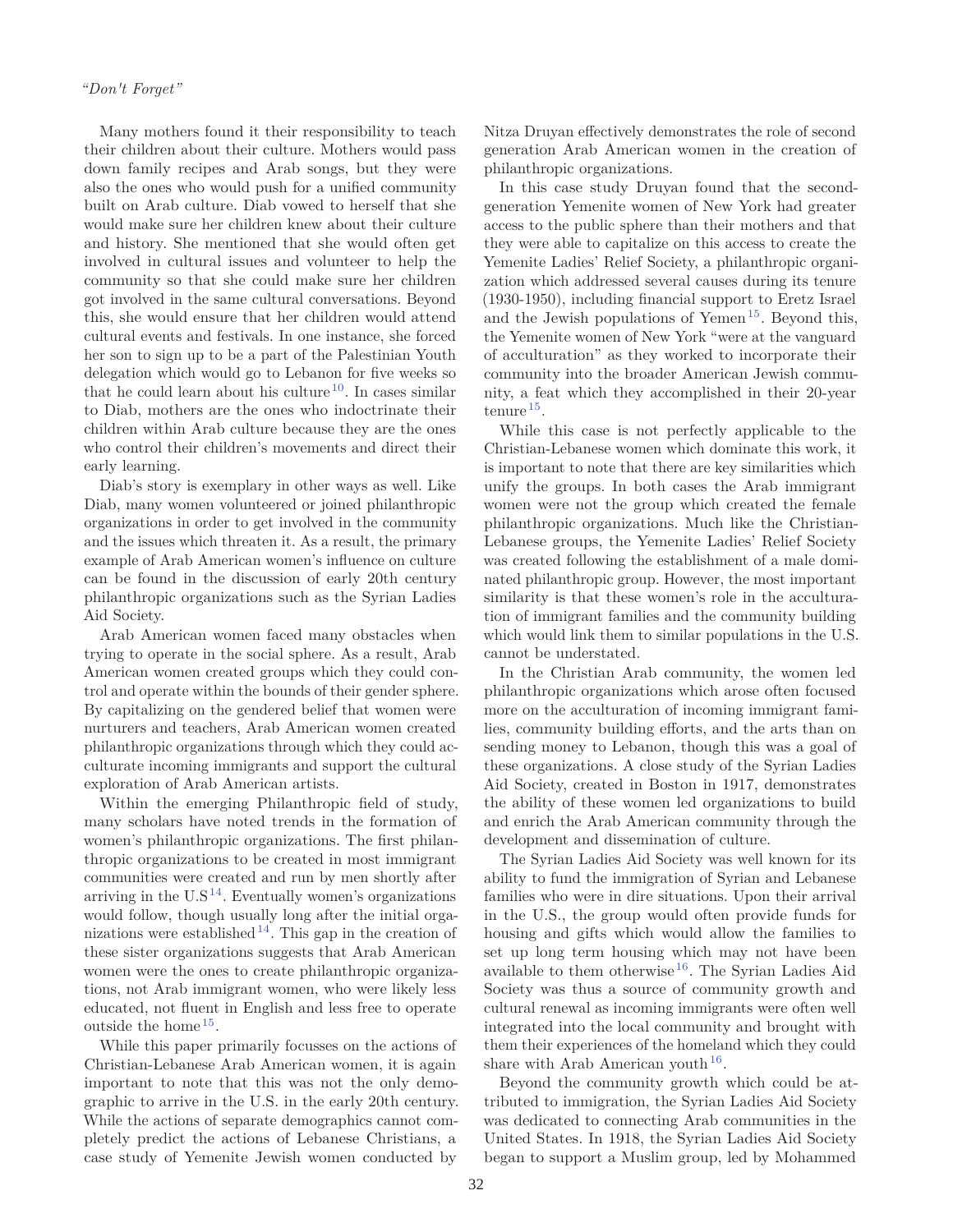Many mothers found it their responsibility to teach their children about their culture. Mothers would pass down family recipes and Arab songs, but they were also the ones who would push for a unified community built on Arab culture. Diab vowed to herself that she would make sure her children knew about their culture and history. She mentioned that she would often get involved in cultural issues and volunteer to help the community so that she could make sure her children got involved in the same cultural conversations. Beyond this, she would ensure that her children would attend cultural events and festivals. In one instance, she forced her son to sign up to be a part of the Palestinian Youth delegation which would go to Lebanon for five weeks so that he could learn about his culture<sup>10</sup>. In cases similar to Diab, mothers are the ones who indoctrinate their children within Arab culture because they are the ones who control their children's movements and direct their early learning.

Diab's story is exemplary in other ways as well. Like Diab, many women volunteered or joined philanthropic organizations in order to get involved in the community and the issues which threaten it. As a result, the primary example of Arab American women's influence on culture can be found in the discussion of early 20th century philanthropic organizations such as the Syrian Ladies Aid Society.

Arab American women faced many obstacles when trying to operate in the social sphere. As a result, Arab American women created groups which they could control and operate within the bounds of their gender sphere. By capitalizing on the gendered belief that women were nurturers and teachers, Arab American women created philanthropic organizations through which they could acculturate incoming immigrants and support the cultural exploration of Arab American artists.

Within the emerging Philanthropic field of study, many scholars have noted trends in the formation of women's philanthropic organizations. The first philanthropic organizations to be created in most immigrant communities were created and run by men shortly after arriving in the  $\mathrm{U.S^{14}.}$  Eventually women's organizations would follow, though usually long after the initial organizations were established  $14$ . This gap in the creation of these sister organizations suggests that Arab American women were the ones to create philanthropic organizations, not Arab immigrant women, who were likely less educated, not fluent in English and less free to operate outside the home <sup>15</sup>.

While this paper primarily focusses on the actions of Christian-Lebanese Arab American women, it is again important to note that this was not the only demographic to arrive in the U.S. in the early 20th century. While the actions of separate demographics cannot completely predict the actions of Lebanese Christians, a case study of Yemenite Jewish women conducted by

Nitza Druyan effectively demonstrates the role of second generation Arab American women in the creation of philanthropic organizations.

In this case study Druyan found that the secondgeneration Yemenite women of New York had greater access to the public sphere than their mothers and that they were able to capitalize on this access to create the Yemenite Ladies' Relief Society, a philanthropic organization which addressed several causes during its tenure (1930-1950), including financial support to Eretz Israel and the Jewish populations of Yemen<sup>15</sup>. Beyond this, the Yemenite women of New York "were at the vanguard of acculturation" as they worked to incorporate their community into the broader American Jewish community, a feat which they accomplished in their 20-year tenure <sup>15</sup>.

While this case is not perfectly applicable to the Christian-Lebanese women which dominate this work, it is important to note that there are key similarities which unify the groups. In both cases the Arab immigrant women were not the group which created the female philanthropic organizations. Much like the Christian-Lebanese groups, the Yemenite Ladies' Relief Society was created following the establishment of a male dominated philanthropic group. However, the most important similarity is that these women's role in the acculturation of immigrant families and the community building which would link them to similar populations in the U.S. cannot be understated.

In the Christian Arab community, the women led philanthropic organizations which arose often focused more on the acculturation of incoming immigrant families, community building efforts, and the arts than on sending money to Lebanon, though this was a goal of these organizations. A close study of the Syrian Ladies Aid Society, created in Boston in 1917, demonstrates the ability of these women led organizations to build and enrich the Arab American community through the development and dissemination of culture.

The Syrian Ladies Aid Society was well known for its ability to fund the immigration of Syrian and Lebanese families who were in dire situations. Upon their arrival in the U.S., the group would often provide funds for housing and gifts which would allow the families to set up long term housing which may not have been available to them otherwise<sup>16</sup>. The Syrian Ladies Aid Society was thus a source of community growth and cultural renewal as incoming immigrants were often well integrated into the local community and brought with them their experiences of the homeland which they could share with Arab American youth<sup>16</sup>.

Beyond the community growth which could be attributed to immigration, the Syrian Ladies Aid Society was dedicated to connecting Arab communities in the United States. In 1918, the Syrian Ladies Aid Society began to support a Muslim group, led by Mohammed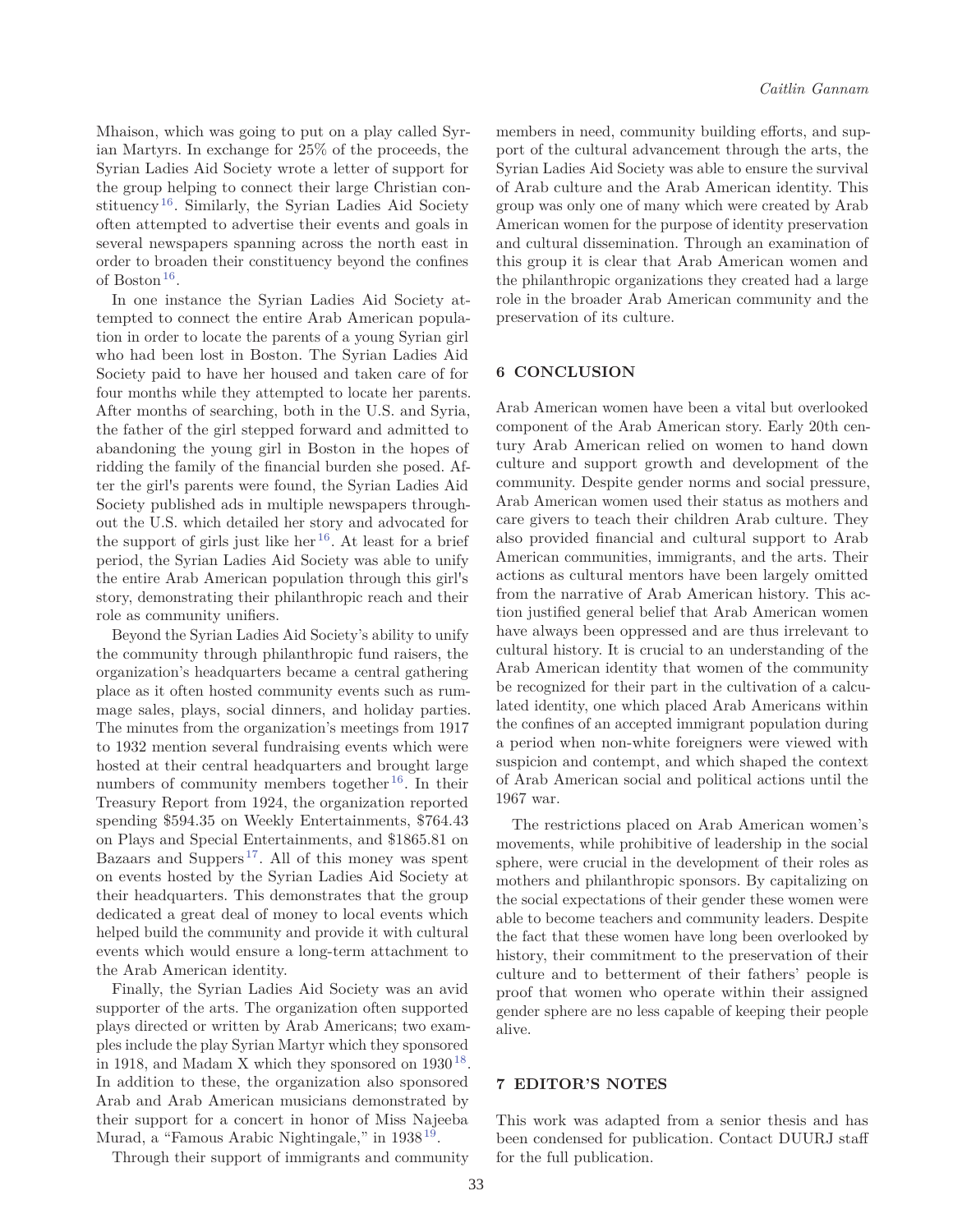Mhaison, which was going to put on a play called Syrian Martyrs. In exchange for 25% of the proceeds, the Syrian Ladies Aid Society wrote a letter of support for the group helping to connect their large Christian constituency<sup>16</sup>. Similarly, the Syrian Ladies Aid Society often attempted to advertise their events and goals in several newspapers spanning across the north east in order to broaden their constituency beyond the confines of Boston <sup>16</sup>.

In one instance the Syrian Ladies Aid Society attempted to connect the entire Arab American population in order to locate the parents of a young Syrian girl who had been lost in Boston. The Syrian Ladies Aid Society paid to have her housed and taken care of for four months while they attempted to locate her parents. After months of searching, both in the U.S. and Syria, the father of the girl stepped forward and admitted to abandoning the young girl in Boston in the hopes of ridding the family of the financial burden she posed. After the girl's parents were found, the Syrian Ladies Aid Society published ads in multiple newspapers throughout the U.S. which detailed her story and advocated for the support of girls just like her<sup>16</sup>. At least for a brief period, the Syrian Ladies Aid Society was able to unify the entire Arab American population through this girl's story, demonstrating their philanthropic reach and their role as community unifiers.

Beyond the Syrian Ladies Aid Society's ability to unify the community through philanthropic fund raisers, the organization's headquarters became a central gathering place as it often hosted community events such as rummage sales, plays, social dinners, and holiday parties. The minutes from the organization's meetings from 1917 to 1932 mention several fundraising events which were hosted at their central headquarters and brought large numbers of community members together<sup>16</sup>. In their Treasury Report from 1924, the organization reported spending \$594.35 on Weekly Entertainments, \$764.43 on Plays and Special Entertainments, and \$1865.81 on Bazaars and Suppers<sup>17</sup>. All of this money was spent on events hosted by the Syrian Ladies Aid Society at their headquarters. This demonstrates that the group dedicated a great deal of money to local events which helped build the community and provide it with cultural events which would ensure a long-term attachment to the Arab American identity.

Finally, the Syrian Ladies Aid Society was an avid supporter of the arts. The organization often supported plays directed or written by Arab Americans; two examples include the play Syrian Martyr which they sponsored in 1918, and Madam X which they sponsored on  $1930^{18}$ . In addition to these, the organization also sponsored Arab and Arab American musicians demonstrated by their support for a concert in honor of Miss Najeeba Murad, a "Famous Arabic Nightingale," in 1938<sup>19</sup>.

Through their support of immigrants and community

members in need, community building efforts, and support of the cultural advancement through the arts, the Syrian Ladies Aid Society was able to ensure the survival of Arab culture and the Arab American identity. This group was only one of many which were created by Arab American women for the purpose of identity preservation and cultural dissemination. Through an examination of this group it is clear that Arab American women and the philanthropic organizations they created had a large role in the broader Arab American community and the preservation of its culture.

#### **6 CONCLUSION**

Arab American women have been a vital but overlooked component of the Arab American story. Early 20th century Arab American relied on women to hand down culture and support growth and development of the community. Despite gender norms and social pressure, Arab American women used their status as mothers and care givers to teach their children Arab culture. They also provided financial and cultural support to Arab American communities, immigrants, and the arts. Their actions as cultural mentors have been largely omitted from the narrative of Arab American history. This action justified general belief that Arab American women have always been oppressed and are thus irrelevant to cultural history. It is crucial to an understanding of the Arab American identity that women of the community be recognized for their part in the cultivation of a calculated identity, one which placed Arab Americans within the confines of an accepted immigrant population during a period when non-white foreigners were viewed with suspicion and contempt, and which shaped the context of Arab American social and political actions until the 1967 war.

The restrictions placed on Arab American women's movements, while prohibitive of leadership in the social sphere, were crucial in the development of their roles as mothers and philanthropic sponsors. By capitalizing on the social expectations of their gender these women were able to become teachers and community leaders. Despite the fact that these women have long been overlooked by history, their commitment to the preservation of their culture and to betterment of their fathers' people is proof that women who operate within their assigned gender sphere are no less capable of keeping their people alive.

#### **7 EDITOR'S NOTES**

This work was adapted from a senior thesis and has been condensed for publication. Contact DUURJ staff for the full publication.